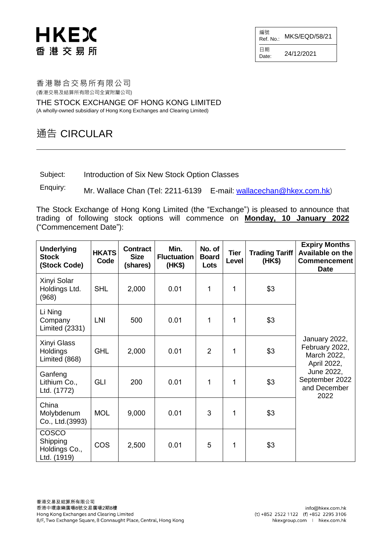編號 Ref. No.: MKS/EQD/58/21 日期  $D_{\text{date}:}$  24/12/2021

香港聯合交易所有限公司 (香港交易及結算所有限公司全資附屬公司)

THE STOCK EXCHANGE OF HONG KONG LIMITED (A wholly-owned subsidiary of Hong Kong Exchanges and Clearing Limited)

### 通告 CIRCULAR

Subject: Introduction of Six New Stock Option Classes

Enquiry: Mr. Wallace Chan (Tel: 2211-6139 E-mail: [wallacechan@hkex.com.hk](mailto:wallacechan@hkex.com.hk))

The Stock Exchange of Hong Kong Limited (the "Exchange") is pleased to announce that trading of following stock options will commence on **Monday, 10 January 2022** ("Commencement Date"):

| <b>Underlying</b><br><b>Stock</b><br>(Stock Code) | <b>HKATS</b><br>Code | <b>Contract</b><br><b>Size</b><br>(shares) | Min.<br><b>Fluctuation</b><br>(HK\$) | No. of<br><b>Board</b><br>Lots | <b>Tier</b><br>Level | <b>Trading Tariff</b><br>(HK\$) | <b>Expiry Months</b><br>Available on the<br><b>Commencement</b><br><b>Date</b> |
|---------------------------------------------------|----------------------|--------------------------------------------|--------------------------------------|--------------------------------|----------------------|---------------------------------|--------------------------------------------------------------------------------|
| Xinyi Solar<br>Holdings Ltd.<br>(968)             | <b>SHL</b>           | 2,000                                      | 0.01                                 | 1                              | 1                    | \$3                             |                                                                                |
| Li Ning<br>Company<br><b>Limited (2331)</b>       | LNI                  | 500                                        | 0.01                                 | 1                              | 1                    | \$3                             |                                                                                |
| Xinyi Glass<br><b>Holdings</b><br>Limited (868)   | <b>GHL</b>           | 2,000                                      | 0.01                                 | $\overline{2}$                 | 1                    | \$3                             | January 2022,<br>February 2022,<br>March 2022,<br>April 2022,                  |
| Ganfeng<br>Lithium Co.,<br>Ltd. (1772)            | GLI                  | 200                                        | 0.01                                 | 1                              | 1                    | \$3                             | June 2022,<br>September 2022<br>and December<br>2022                           |
| China<br>Molybdenum<br>Co., Ltd. (3993)           | <b>MOL</b>           | 9,000                                      | 0.01                                 | 3                              | 1                    | \$3                             |                                                                                |
| COSCO<br>Shipping<br>Holdings Co.,<br>Ltd. (1919) | <b>COS</b>           | 2,500                                      | 0.01                                 | 5                              | 1                    | \$3                             |                                                                                |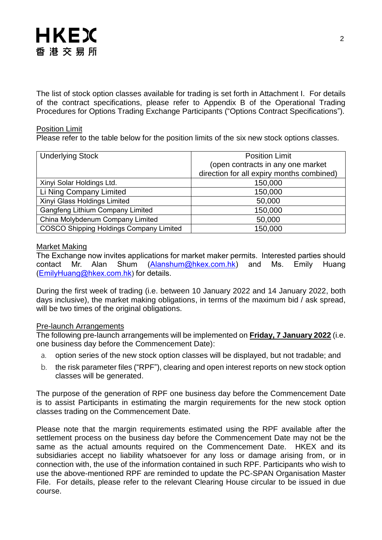The list of stock option classes available for trading is set forth in Attachment I. For details of the contract specifications, please refer to Appendix B of the Operational Trading Procedures for Options Trading Exchange Participants ("Options Contract Specifications").

### Position Limit

Please refer to the table below for the position limits of the six new stock options classes.

| <b>Underlying Stock</b>                        | <b>Position Limit</b>                     |  |  |  |
|------------------------------------------------|-------------------------------------------|--|--|--|
|                                                | (open contracts in any one market         |  |  |  |
|                                                | direction for all expiry months combined) |  |  |  |
| Xinyi Solar Holdings Ltd.                      | 150,000                                   |  |  |  |
| Li Ning Company Limited                        | 150,000                                   |  |  |  |
| Xinyi Glass Holdings Limited                   | 50,000                                    |  |  |  |
| <b>Gangfeng Lithium Company Limited</b>        | 150,000                                   |  |  |  |
| China Molybdenum Company Limited               | 50,000                                    |  |  |  |
| <b>COSCO Shipping Holdings Company Limited</b> | 150,000                                   |  |  |  |

### Market Making

The Exchange now invites applications for market maker permits. Interested parties should contact Mr. Alan Shum [\(Alanshum@hkex.com.hk\)](mailto:Alanshum@hkex.com.hk) and Ms. Emily Huang [\(EmilyHuang@hkex.com.hk](mailto:EmilyHuang@HKEX.COM.HK)) for details.

During the first week of trading (i.e. between 10 January 2022 and 14 January 2022, both days inclusive), the market making obligations, in terms of the maximum bid / ask spread, will be two times of the original obligations.

#### Pre-launch Arrangements

The following pre-launch arrangements will be implemented on **Friday, 7 January 2022** (i.e. one business day before the Commencement Date):

- a. option series of the new stock option classes will be displayed, but not tradable; and
- b. the risk parameter files ("RPF"), clearing and open interest reports on new stock option classes will be generated.

The purpose of the generation of RPF one business day before the Commencement Date is to assist Participants in estimating the margin requirements for the new stock option classes trading on the Commencement Date.

Please note that the margin requirements estimated using the RPF available after the settlement process on the business day before the Commencement Date may not be the same as the actual amounts required on the Commencement Date. HKEX and its subsidiaries accept no liability whatsoever for any loss or damage arising from, or in connection with, the use of the information contained in such RPF. Participants who wish to use the above-mentioned RPF are reminded to update the PC-SPAN Organisation Master File. For details, please refer to the relevant Clearing House circular to be issued in due course.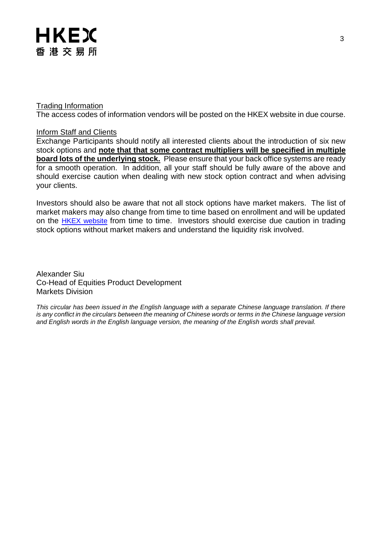#### Trading Information

The access codes of information vendors will be posted on the HKEX website in due course.

### Inform Staff and Clients

Exchange Participants should notify all interested clients about the introduction of six new stock options and **note that that some contract multipliers will be specified in multiple board lots of the underlying stock.** Please ensure that your back office systems are ready for a smooth operation. In addition, all your staff should be fully aware of the above and should exercise caution when dealing with new stock option contract and when advising your clients.

Investors should also be aware that not all stock options have market makers. The list of market makers may also change from time to time based on enrollment and will be updated on the [HKEX website](http://www.hkex.com.hk/Products/Listed-Derivatives/Single-Stock/Stock-Options?sc_lang=en) from time to time. Investors should exercise due caution in trading stock options without market makers and understand the liquidity risk involved.

Alexander Siu Co-Head of Equities Product Development Markets Division

*This circular has been issued in the English language with a separate Chinese language translation. If there is any conflict in the circulars between the meaning of Chinese words or terms in the Chinese language version and English words in the English language version, the meaning of the English words shall prevail.*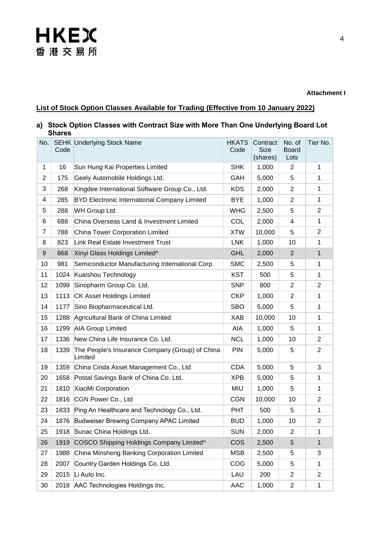#### **Attachment I**

### **List of Stock Option Classes Available for Trading (Effective from 10 January 2022)**

#### **a) Stock Option Classes with Contract Size with More Than One Underlying Board Lot Shares**

| No.            | Code | <b>SEHK Underlying Stock Name</b>                          | <b>HKATS</b><br>Code | Contract<br><b>Size</b><br>(shares) | No. of<br><b>Board</b><br>Lots | Tier No.       |
|----------------|------|------------------------------------------------------------|----------------------|-------------------------------------|--------------------------------|----------------|
| 1              | 16   | Sun Hung Kai Properties Limited                            | <b>SHK</b>           | 1,000                               | $\overline{2}$                 | 1              |
| $\overline{2}$ | 175  | Geely Automobile Holdings Ltd.                             | GAH                  | 5,000                               | 5                              | $\mathbf{1}$   |
| 3              | 268  | Kingdee International Software Group Co., Ltd.             | <b>KDS</b>           | 2,000                               | $\overline{2}$                 | $\mathbf{1}$   |
| 4              | 285  | <b>BYD Electronic International Company Limited</b>        | <b>BYE</b>           | 1,000                               | $\overline{2}$                 | $\mathbf{1}$   |
| 5              | 288  | WH Group Ltd.                                              | <b>WHG</b>           | 2,500                               | 5                              | $\overline{2}$ |
| 6              | 688  | China Overseas Land & Investment Limited                   | <b>COL</b>           | 2,000                               | 4                              | $\mathbf{1}$   |
| $\overline{7}$ | 788  | China Tower Corporation Limited                            | <b>XTW</b>           | 10,000                              | 5                              | $\overline{2}$ |
| 8              | 823  | Link Real Estate Investment Trust                          | <b>LNK</b>           | 1,000                               | 10                             | 1              |
| 9              | 868  | Xinyi Glass Holdings Limited^                              | <b>GHL</b>           | 2,000                               | $\overline{2}$                 | $\mathbf{1}$   |
| 10             | 981  | Semiconductor Manufacturing International Corp.            | <b>SMC</b>           | 2,500                               | 5                              | $\mathbf{1}$   |
| 11             | 1024 | Kuaishou Technology                                        | <b>KST</b>           | 500                                 | 5                              | $\mathbf{1}$   |
| 12             | 1099 | Sinopharm Group Co. Ltd.                                   | <b>SNP</b>           | 800                                 | $\overline{2}$                 | $\overline{2}$ |
| 13             | 1113 | CK Asset Holdings Limited                                  | <b>CKP</b>           | 1,000                               | $\overline{2}$                 | $\mathbf{1}$   |
| 14             | 1177 | Sino Biopharmaceutical Ltd.                                | <b>SBO</b>           | 5,000                               | 5                              | $\mathbf{1}$   |
| 15             | 1288 | Agricultural Bank of China Limited                         | XAB                  | 10,000                              | 10                             | $\mathbf{1}$   |
| 16             | 1299 | AIA Group Limited                                          | AIA                  | 1,000                               | 5                              | $\mathbf{1}$   |
| 17             | 1336 | New China Life Insurance Co. Ltd.                          | <b>NCL</b>           | 1,000                               | 10                             | $\overline{2}$ |
| 18             | 1339 | The People's Insurance Company (Group) of China<br>Limited | <b>PIN</b>           | 5,000                               | 5                              | $\overline{2}$ |
| 19             | 1359 | China Cinda Asset Management Co., Ltd                      | <b>CDA</b>           | 5,000                               | 5                              | 3              |
| 20             | 1658 | Postal Savings Bank of China Co. Ltd.                      | <b>XPB</b>           | 5,000                               | 5                              | $\mathbf{1}$   |
| 21             | 1810 | XiaoMi Corporation                                         | MIU                  | 1,000                               | 5                              | $\mathbf{1}$   |
| 22             | 1816 | CGN Power Co., Ltd                                         | <b>CGN</b>           | 10,000                              | 10                             | $\overline{2}$ |
| 23             | 1833 | Ping An Healthcare and Technology Co., Ltd.                | <b>PHT</b>           | 500                                 | 5                              | $\mathbf{1}$   |
| 24             | 1876 | <b>Budweiser Brewing Company APAC Limited</b>              | <b>BUD</b>           | 1,000                               | 10                             | $\overline{2}$ |
| 25             | 1918 | Sunac China Holdings Ltd.                                  | <b>SUN</b>           | 2,000                               | $\overline{2}$                 | 1              |
| 26             | 1919 | COSCO Shipping Holdings Company Limited^                   | <b>COS</b>           | 2,500                               | 5                              | $\mathbf{1}$   |
| 27             | 1988 | China Minsheng Banking Corporation Limited                 | <b>MSB</b>           | 2,500                               | 5                              | 3              |
| 28             | 2007 | Country Garden Holdings Co. Ltd.                           | COG                  | 5,000                               | 5                              | 1              |
| 29             | 2015 | Li Auto Inc.                                               | LAU                  | 200                                 | $\overline{c}$                 | $\overline{c}$ |
| 30             | 2018 | AAC Technologies Holdings Inc.                             | AAC                  | 1,000                               | $\overline{c}$                 | 1              |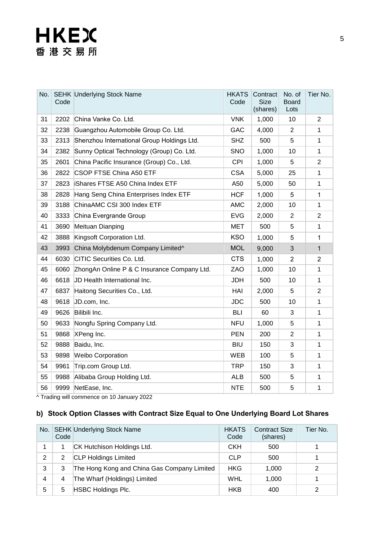| No. | Code | <b>SEHK Underlying Stock Name</b>           | <b>HKATS</b><br>Code | Contract<br><b>Size</b><br>(shares) | No. of<br><b>Board</b><br>Lots | Tier No.       |
|-----|------|---------------------------------------------|----------------------|-------------------------------------|--------------------------------|----------------|
| 31  | 2202 | China Vanke Co. Ltd.                        | <b>VNK</b>           | 1,000                               | 10                             | $\overline{2}$ |
| 32  | 2238 | Guangzhou Automobile Group Co. Ltd.         | <b>GAC</b>           | 4,000                               | $\mathbf{2}^{\prime}$          | $\mathbf{1}$   |
| 33  | 2313 | Shenzhou International Group Holdings Ltd.  | <b>SHZ</b>           | 500                                 | 5                              | $\mathbf{1}$   |
| 34  | 2382 | Sunny Optical Technology (Group) Co. Ltd.   | <b>SNO</b>           | 1,000                               | 10                             | $\mathbf{1}$   |
| 35  | 2601 | China Pacific Insurance (Group) Co., Ltd.   | <b>CPI</b>           | 1,000                               | 5                              | $\overline{2}$ |
| 36  |      | 2822 CSOP FTSE China A50 ETF                | <b>CSA</b>           | 5,000                               | 25                             | $\mathbf{1}$   |
| 37  | 2823 | Shares FTSE A50 China Index ETF             | A50                  | 5,000                               | 50                             | $\mathbf{1}$   |
| 38  | 2828 | Hang Seng China Enterprises Index ETF       | <b>HCF</b>           | 1,000                               | 5                              | $\mathbf{1}$   |
| 39  | 3188 | ChinaAMC CSI 300 Index ETF                  | <b>AMC</b>           | 2,000                               | 10                             | $\mathbf{1}$   |
| 40  | 3333 | China Evergrande Group                      | <b>EVG</b>           | 2,000                               | $\overline{2}$                 | $\overline{2}$ |
| 41  | 3690 | Meituan Dianping                            | MET                  | 500                                 | 5                              | 1              |
| 42  | 3888 | Kingsoft Corporation Ltd.                   | <b>KSO</b>           | 1,000                               | 5                              | $\mathbf{1}$   |
| 43  |      | 3993 China Molybdenum Company Limited^      | <b>MOL</b>           | 9,000                               | 3                              | $\mathbf{1}$   |
| 44  | 6030 | CITIC Securities Co. Ltd.                   | <b>CTS</b>           | 1,000                               | $\overline{2}$                 | $\overline{2}$ |
| 45  | 6060 | ZhongAn Online P & C Insurance Company Ltd. | ZAO                  | 1,000                               | 10                             | $\mathbf{1}$   |
| 46  |      | 6618 JD Health International Inc.           | <b>JDH</b>           | 500                                 | 10                             | $\mathbf{1}$   |
| 47  | 6837 | Haitong Securities Co., Ltd.                | HAI                  | 2,000                               | 5                              | $\overline{2}$ |
| 48  | 9618 | JD.com, Inc.                                | <b>JDC</b>           | 500                                 | 10                             | $\mathbf{1}$   |
| 49  | 9626 | Bilibili Inc.                               | <b>BLI</b>           | 60                                  | 3                              | $\mathbf{1}$   |
| 50  | 9633 | Nongfu Spring Company Ltd.                  | <b>NFU</b>           | 1,000                               | 5                              | $\mathbf{1}$   |
| 51  | 9868 | XPeng Inc.                                  | <b>PEN</b>           | 200                                 | $\overline{2}$                 | $\mathbf{1}$   |
| 52  | 9888 | Baidu, Inc.                                 | <b>BIU</b>           | 150                                 | 3                              | $\mathbf{1}$   |
| 53  | 9898 | <b>Weibo Corporation</b>                    | <b>WEB</b>           | 100                                 | 5                              | $\mathbf{1}$   |
| 54  | 9961 | Trip.com Group Ltd.                         | <b>TRP</b>           | 150                                 | 3                              | $\mathbf{1}$   |
| 55  | 9988 | Alibaba Group Holding Ltd.                  | <b>ALB</b>           | 500                                 | 5                              | 1              |
| 56  | 9999 | NetEase, Inc.                               | <b>NTE</b>           | 500                                 | 5                              | 1              |

^ Trading will commence on 10 January 2022

### **b) Stock Option Classes with Contract Size Equal to One Underlying Board Lot Shares**

| No. | Code | <b>SEHK Underlying Stock Name</b>           | <b>HKATS</b><br>Code | <b>Contract Size</b><br>(shares) | Tier No. |
|-----|------|---------------------------------------------|----------------------|----------------------------------|----------|
|     |      | CK Hutchison Holdings Ltd.                  | <b>CKH</b>           | 500                              |          |
| 2   | 2    | <b>CLP Holdings Limited</b>                 | <b>CLP</b>           | 500                              |          |
| 3   | 3    | The Hong Kong and China Gas Company Limited | <b>HKG</b>           | 1.000                            | 2        |
| 4   | 4    | The Wharf (Holdings) Limited                | WHL                  | 1.000                            |          |
| 5   | 5    | <b>HSBC Holdings Plc.</b>                   | <b>HKB</b>           | 400                              | 2        |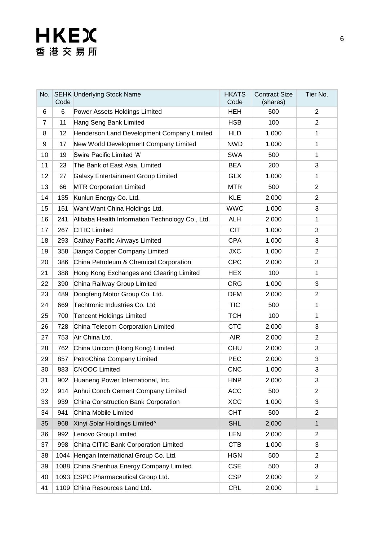| No.            | Code | <b>SEHK Underlying Stock Name</b>               | <b>HKATS</b><br>Code | <b>Contract Size</b><br>(shares) | Tier No.       |
|----------------|------|-------------------------------------------------|----------------------|----------------------------------|----------------|
| 6              | 6    | Power Assets Holdings Limited                   | <b>HEH</b>           | 500                              | $\overline{2}$ |
| $\overline{7}$ | 11   | Hang Seng Bank Limited                          | <b>HSB</b>           | 100                              | $\overline{2}$ |
| 8              | 12   | Henderson Land Development Company Limited      | <b>HLD</b>           | 1,000                            | $\mathbf{1}$   |
| 9              | 17   | New World Development Company Limited           | <b>NWD</b>           | 1,000                            | $\mathbf{1}$   |
| 10             | 19   | Swire Pacific Limited 'A'                       | <b>SWA</b>           | 500                              | $\mathbf{1}$   |
| 11             | 23   | The Bank of East Asia, Limited                  | <b>BEA</b>           | 200                              | 3              |
| 12             | 27   | <b>Galaxy Entertainment Group Limited</b>       | <b>GLX</b>           | 1,000                            | $\mathbf{1}$   |
| 13             | 66   | <b>MTR Corporation Limited</b>                  | <b>MTR</b>           | 500                              | $\overline{2}$ |
| 14             | 135  | Kunlun Energy Co. Ltd.                          | <b>KLE</b>           | 2,000                            | $\overline{2}$ |
| 15             | 151  | Want Want China Holdings Ltd.                   | <b>WWC</b>           | 1,000                            | 3              |
| 16             | 241  | Alibaba Health Information Technology Co., Ltd. | <b>ALH</b>           | 2,000                            | $\mathbf{1}$   |
| 17             | 267  | <b>CITIC Limited</b>                            | <b>CIT</b>           | 1,000                            | 3              |
| 18             | 293  | Cathay Pacific Airways Limited                  | <b>CPA</b>           | 1,000                            | 3              |
| 19             | 358  | Jiangxi Copper Company Limited                  | <b>JXC</b>           | 1,000                            | $\overline{2}$ |
| 20             | 386  | China Petroleum & Chemical Corporation          | <b>CPC</b>           | 2,000                            | 3              |
| 21             | 388  | Hong Kong Exchanges and Clearing Limited        | <b>HEX</b>           | 100                              | $\mathbf{1}$   |
| 22             | 390  | China Railway Group Limited                     | <b>CRG</b>           | 1,000                            | 3              |
| 23             | 489  | Dongfeng Motor Group Co. Ltd.                   | <b>DFM</b>           | 2,000                            | $\overline{2}$ |
| 24             | 669  | Techtronic Industries Co. Ltd                   | <b>TIC</b>           | 500                              | $\mathbf{1}$   |
| 25             | 700  | <b>Tencent Holdings Limited</b>                 | <b>TCH</b>           | 100                              | $\mathbf 1$    |
| 26             | 728  | China Telecom Corporation Limited               | <b>CTC</b>           | 2,000                            | 3              |
| 27             | 753  | Air China Ltd.                                  | <b>AIR</b>           | 2,000                            | $\overline{2}$ |
| 28             | 762  | China Unicom (Hong Kong) Limited                | <b>CHU</b>           | 2,000                            | 3              |
| 29             | 857  | PetroChina Company Limited                      | <b>PEC</b>           | 2,000                            | 3              |
| 30             | 883  | <b>CNOOC Limited</b>                            | <b>CNC</b>           | 1,000                            | 3              |
| 31             | 902  | Huaneng Power International, Inc.               | <b>HNP</b>           | 2,000                            | 3              |
| 32             | 914  | Anhui Conch Cement Company Limited              | <b>ACC</b>           | 500                              | $\overline{2}$ |
| 33             | 939  | China Construction Bank Corporation             | <b>XCC</b>           | 1,000                            | 3              |
| 34             | 941  | China Mobile Limited                            | <b>CHT</b>           | 500                              | $\overline{c}$ |
| 35             | 968  | Xinyi Solar Holdings Limited^                   | <b>SHL</b>           | 2,000                            | $\mathbf{1}$   |
| 36             | 992  | Lenovo Group Limited                            | LEN                  | 2,000                            | $\overline{c}$ |
| 37             | 998  | China CITIC Bank Corporation Limited            | <b>CTB</b>           | 1,000                            | 3              |
| 38             | 1044 | Hengan International Group Co. Ltd.             | <b>HGN</b>           | 500                              | $\overline{2}$ |
| 39             |      | 1088 China Shenhua Energy Company Limited       | <b>CSE</b>           | 500                              | 3              |
| 40             |      | 1093 CSPC Pharmaceutical Group Ltd.             | <b>CSP</b>           | 2,000                            | $\overline{c}$ |
| 41             |      | 1109 China Resources Land Ltd.                  | <b>CRL</b>           | 2,000                            | $\mathbf{1}$   |